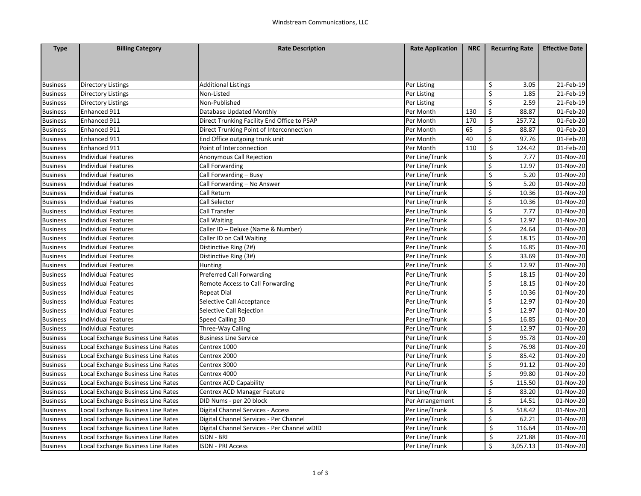| <b>Type</b>     | <b>Billing Category</b>            | <b>Rate Description</b>                     | <b>Rate Application</b> | <b>NRC</b> | <b>Recurring Rate</b> | <b>Effective Date</b> |
|-----------------|------------------------------------|---------------------------------------------|-------------------------|------------|-----------------------|-----------------------|
|                 |                                    |                                             |                         |            |                       |                       |
|                 |                                    |                                             |                         |            |                       |                       |
|                 |                                    |                                             |                         |            |                       |                       |
| <b>Business</b> | Directory Listings                 | <b>Additional Listings</b>                  | Per Listing             |            | \$<br>3.05            | 21-Feb-19             |
| <b>Business</b> | Directory Listings                 | Non-Listed                                  | Per Listing             |            | \$<br>1.85            | 21-Feb-19             |
| <b>Business</b> | Directory Listings                 | Non-Published                               | Per Listing             |            | \$<br>2.59            | 21-Feb-19             |
| <b>Business</b> | Enhanced 911                       | Database Updated Monthly                    | Per Month               | 130        | \$<br>88.87           | 01-Feb-20             |
| <b>Business</b> | Enhanced 911                       | Direct Trunking Facility End Office to PSAP | Per Month               | 170        | \$<br>257.72          | 01-Feb-20             |
| <b>Business</b> | Enhanced 911                       | Direct Trunking Point of Interconnection    | Per Month               | 65         | \$<br>88.87           | 01-Feb-20             |
| <b>Business</b> | Enhanced 911                       | End Office outgoing trunk unit              | Per Month               | 40         | \$<br>97.76           | 01-Feb-20             |
| <b>Business</b> | Enhanced 911                       | Point of Interconnection                    | Per Month               | 110        | \$<br>124.42          | 01-Feb-20             |
| <b>Business</b> | Individual Features                | Anonymous Call Rejection                    | Per Line/Trunk          |            | \$<br>7.77            | 01-Nov-20             |
| <b>Business</b> | Individual Features                | Call Forwarding                             | Per Line/Trunk          |            | \$<br>12.97           | 01-Nov-20             |
| <b>Business</b> | Individual Features                | Call Forwarding - Busy                      | Per Line/Trunk          |            | \$<br>5.20            | 01-Nov-20             |
| <b>Business</b> | Individual Features                | Call Forwarding - No Answer                 | Per Line/Trunk          |            | \$<br>5.20            | 01-Nov-20             |
| <b>Business</b> | Individual Features                | Call Return                                 | Per Line/Trunk          |            | \$<br>10.36           | 01-Nov-20             |
| <b>Business</b> | Individual Features                | Call Selector                               | Per Line/Trunk          |            | \$<br>10.36           | 01-Nov-20             |
| <b>Business</b> | Individual Features                | <b>Call Transfer</b>                        | Per Line/Trunk          |            | \$<br>7.77            | 01-Nov-20             |
| <b>Business</b> | Individual Features                | Call Waiting                                | Per Line/Trunk          |            | \$<br>12.97           | 01-Nov-20             |
| <b>Business</b> | Individual Features                | Caller ID - Deluxe (Name & Number)          | Per Line/Trunk          |            | \$<br>24.64           | 01-Nov-20             |
| <b>Business</b> | Individual Features                | Caller ID on Call Waiting                   | Per Line/Trunk          |            | \$<br>18.15           | 01-Nov-20             |
| <b>Business</b> | <b>Individual Features</b>         | Distinctive Ring (2#)                       | Per Line/Trunk          |            | \$<br>16.85           | 01-Nov-20             |
| <b>Business</b> | Individual Features                | Distinctive Ring (3#)                       | Per Line/Trunk          |            | \$<br>33.69           | 01-Nov-20             |
| <b>Business</b> | Individual Features                | Hunting                                     | Per Line/Trunk          |            | \$<br>12.97           | 01-Nov-20             |
| <b>Business</b> | Individual Features                | <b>Preferred Call Forwarding</b>            | Per Line/Trunk          |            | \$<br>18.15           | 01-Nov-20             |
| <b>Business</b> | Individual Features                | Remote Access to Call Forwarding            | Per Line/Trunk          |            | \$<br>18.15           | 01-Nov-20             |
| <b>Business</b> | Individual Features                | <b>Repeat Dial</b>                          | Per Line/Trunk          |            | \$<br>10.36           | 01-Nov-20             |
| <b>Business</b> | Individual Features                | Selective Call Acceptance                   | Per Line/Trunk          |            | \$<br>12.97           | 01-Nov-20             |
| <b>Business</b> | Individual Features                | Selective Call Rejection                    | Per Line/Trunk          |            | \$<br>12.97           | 01-Nov-20             |
| <b>Business</b> | Individual Features                | Speed Calling 30                            | Per Line/Trunk          |            | \$<br>16.85           | 01-Nov-20             |
| <b>Business</b> | Individual Features                | Three-Way Calling                           | Per Line/Trunk          |            | \$<br>12.97           | 01-Nov-20             |
| <b>Business</b> | ocal Exchange Business Line Rates  | <b>Business Line Service</b>                | Per Line/Trunk          |            | \$<br>95.78           | 01-Nov-20             |
| <b>Business</b> | Local Exchange Business Line Rates | Centrex 1000                                | Per Line/Trunk          |            | \$<br>76.98           | 01-Nov-20             |
| <b>Business</b> | Local Exchange Business Line Rates | Centrex 2000                                | Per Line/Trunk          |            | \$<br>85.42           | 01-Nov-20             |
| <b>Business</b> | Local Exchange Business Line Rates | Centrex 3000                                | Per Line/Trunk          |            | \$<br>91.12           | 01-Nov-20             |
| <b>Business</b> | Local Exchange Business Line Rates | Centrex 4000                                | Per Line/Trunk          |            | \$<br>99.80           | 01-Nov-20             |
| <b>Business</b> | Local Exchange Business Line Rates | Centrex ACD Capability                      | Per Line/Trunk          |            | \$<br>115.50          | 01-Nov-20             |
| <b>Business</b> | Local Exchange Business Line Rates | Centrex ACD Manager Feature                 | Per Line/Trunk          |            | \$<br>83.20           | 01-Nov-20             |
| <b>Business</b> | Local Exchange Business Line Rates | DID Nums - per 20 block                     | Per Arrangement         |            | \$<br>14.51           | 01-Nov-20             |
| <b>Business</b> | Local Exchange Business Line Rates | Digital Channel Services - Access           | Per Line/Trunk          |            | \$<br>518.42          | 01-Nov-20             |
| <b>Business</b> | Local Exchange Business Line Rates | Digital Channel Services - Per Channel      | Per Line/Trunk          |            | \$<br>62.21           | 01-Nov-20             |
| <b>Business</b> | Local Exchange Business Line Rates | Digital Channel Services - Per Channel wDID | Per Line/Trunk          |            | \$<br>116.64          | 01-Nov-20             |
| <b>Business</b> | Local Exchange Business Line Rates | <b>ISDN - BRI</b>                           | Per Line/Trunk          |            | \$<br>221.88          | 01-Nov-20             |
| <b>Business</b> | Local Exchange Business Line Rates | <b>ISDN - PRI Access</b>                    | Per Line/Trunk          |            | Ś<br>3,057.13         | 01-Nov-20             |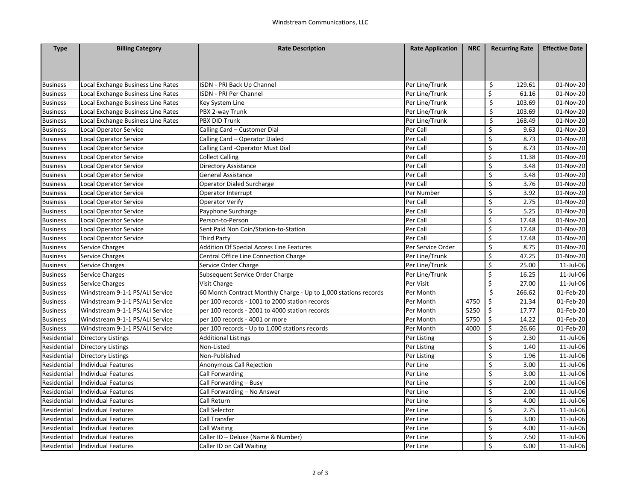| <b>Type</b>     | <b>Billing Category</b>            | <b>Rate Description</b>                                         | <b>Rate Application</b> | <b>NRC</b> | <b>Recurring Rate</b>     | <b>Effective Date</b> |
|-----------------|------------------------------------|-----------------------------------------------------------------|-------------------------|------------|---------------------------|-----------------------|
|                 |                                    |                                                                 |                         |            |                           |                       |
|                 |                                    |                                                                 |                         |            |                           |                       |
|                 |                                    |                                                                 |                         |            |                           |                       |
| <b>Business</b> | Local Exchange Business Line Rates | ISDN - PRI Back Up Channel                                      | Per Line/Trunk          |            | \$<br>129.61              | 01-Nov-20             |
| <b>Business</b> | Local Exchange Business Line Rates | <b>ISDN - PRI Per Channel</b>                                   | Per Line/Trunk          |            | \$<br>61.16               | 01-Nov-20             |
| <b>Business</b> | Local Exchange Business Line Rates | Key System Line                                                 | Per Line/Trunk          |            | Ś<br>103.69               | 01-Nov-20             |
| <b>Business</b> | Local Exchange Business Line Rates | PBX 2-way Trunk                                                 | Per Line/Trunk          |            | \$<br>103.69              | 01-Nov-20             |
| <b>Business</b> | Local Exchange Business Line Rates | PBX DID Trunk                                                   | Per Line/Trunk          |            | \$<br>168.49              | 01-Nov-20             |
| <b>Business</b> | <b>Local Operator Service</b>      | Calling Card - Customer Dial                                    | Per Call                |            | \$<br>9.63                | 01-Nov-20             |
| <b>Business</b> | Local Operator Service             | Calling Card - Operator Dialed                                  | Per Call                |            | \$<br>8.73                | 01-Nov-20             |
| <b>Business</b> | Local Operator Service             | Calling Card -Operator Must Dial                                | Per Call                |            | \$<br>8.73                | 01-Nov-20             |
| <b>Business</b> | <b>Local Operator Service</b>      | <b>Collect Calling</b>                                          | Per Call                |            | \$<br>11.38               | 01-Nov-20             |
| <b>Business</b> | <b>Local Operator Service</b>      | <b>Directory Assistance</b>                                     | Per Call                |            | \$<br>3.48                | 01-Nov-20             |
| <b>Business</b> | Local Operator Service             | General Assistance                                              | Per Call                |            | \$<br>3.48                | 01-Nov-20             |
| <b>Business</b> | <b>Local Operator Service</b>      | <b>Operator Dialed Surcharge</b>                                | Per Call                |            | \$<br>3.76                | 01-Nov-20             |
| <b>Business</b> | <b>Local Operator Service</b>      | Operator Interrupt                                              | Per Number              |            | \$<br>3.92                | 01-Nov-20             |
| <b>Business</b> | Local Operator Service             | Operator Verify                                                 | Per Call                |            | \$<br>2.75                | 01-Nov-20             |
| <b>Business</b> | <b>Local Operator Service</b>      | Payphone Surcharge                                              | Per Call                |            | \$<br>5.25                | 01-Nov-20             |
| <b>Business</b> | <b>Local Operator Service</b>      | Person-to-Person                                                | Per Call                |            | \$<br>17.48               | 01-Nov-20             |
| <b>Business</b> | <b>Local Operator Service</b>      | Sent Paid Non Coin/Station-to-Station                           | Per Call                |            | \$<br>17.48               | 01-Nov-20             |
| <b>Business</b> | Local Operator Service             | <b>Third Party</b>                                              | Per Call                |            | \$<br>17.48               | 01-Nov-20             |
| <b>Business</b> | <b>Service Charges</b>             | <b>Addition Of Special Access Line Features</b>                 | Per Service Order       |            | \$<br>8.75                | 01-Nov-20             |
| <b>Business</b> | Service Charges                    | Central Office Line Connection Charge                           | Per Line/Trunk          |            | \$<br>47.25               | 01-Nov-20             |
| <b>Business</b> | Service Charges                    | Service Order Charge                                            | Per Line/Trunk          |            | \$<br>25.00               | 11-Jul-06             |
| <b>Business</b> | <b>Service Charges</b>             | Subsequent Service Order Charge                                 | Per Line/Trunk          |            | $\overline{\xi}$<br>16.25 | 11-Jul-06             |
| <b>Business</b> | Service Charges                    | Visit Charge                                                    | Per Visit               |            | \$<br>27.00               | 11-Jul-06             |
| <b>Business</b> | Windstream 9-1-1 PS/ALI Service    | 60 Month Contract Monthly Charge - Up to 1,000 stations records | Per Month               |            | Ś<br>266.62               | 01-Feb-20             |
| <b>Business</b> | Windstream 9-1-1 PS/ALI Service    | per 100 records - 1001 to 2000 station records                  | Per Month               | 4750       | \$<br>21.34               | 01-Feb-20             |
| <b>Business</b> | Windstream 9-1-1 PS/ALI Service    | per 100 records - 2001 to 4000 station records                  | Per Month               | 5250       | \$<br>17.77               | 01-Feb-20             |
| <b>Business</b> | Windstream 9-1-1 PS/ALI Service    | per 100 records - 4001 or more                                  | Per Month               | 5750       | \$<br>14.22               | 01-Feb-20             |
| <b>Business</b> | Windstream 9-1-1 PS/ALI Service    | per 100 records - Up to 1,000 stations records                  | Per Month               | 4000       | \$<br>26.66               | 01-Feb-20             |
| Residential     | <b>Directory Listings</b>          | <b>Additional Listings</b>                                      | Per Listing             |            | \$<br>2.30                | 11-Jul-06             |
| Residential     | Directory Listings                 | Non-Listed                                                      | Per Listing             |            | \$<br>1.40                | 11-Jul-06             |
| Residential     | <b>Directory Listings</b>          | Non-Published                                                   | Per Listing             |            | \$<br>1.96                | 11-Jul-06             |
| Residential     | <b>Individual Features</b>         | Anonymous Call Rejection                                        | Per Line                |            | \$<br>3.00                | 11-Jul-06             |
| Residential     | Individual Features                | Call Forwarding                                                 | Per Line                |            | \$<br>3.00                | 11-Jul-06             |
| Residential     | <b>Individual Features</b>         | Call Forwarding - Busy                                          | Per Line                |            | \$<br>2.00                | 11-Jul-06             |
| Residential     | <b>Individual Features</b>         | Call Forwarding - No Answer                                     | Per Line                |            | Ś<br>2.00                 | 11-Jul-06             |
| Residential     | <b>Individual Features</b>         | Call Return                                                     | Per Line                |            | \$<br>4.00                | 11-Jul-06             |
| Residential     | <b>Individual Features</b>         | Call Selector                                                   | Per Line                |            | \$<br>2.75                | 11-Jul-06             |
| Residential     | <b>Individual Features</b>         | Call Transfer                                                   | Per Line                |            | Ś<br>3.00                 | 11-Jul-06             |
| Residential     | <b>Individual Features</b>         | Call Waiting                                                    | Per Line                |            | \$<br>4.00                | 11-Jul-06             |
| Residential     | <b>Individual Features</b>         | Caller ID - Deluxe (Name & Number)                              | Per Line                |            | \$<br>7.50                | 11-Jul-06             |
| Residential     | <b>Individual Features</b>         | Caller ID on Call Waiting                                       | Per Line                |            | Ś<br>6.00                 | 11-Jul-06             |